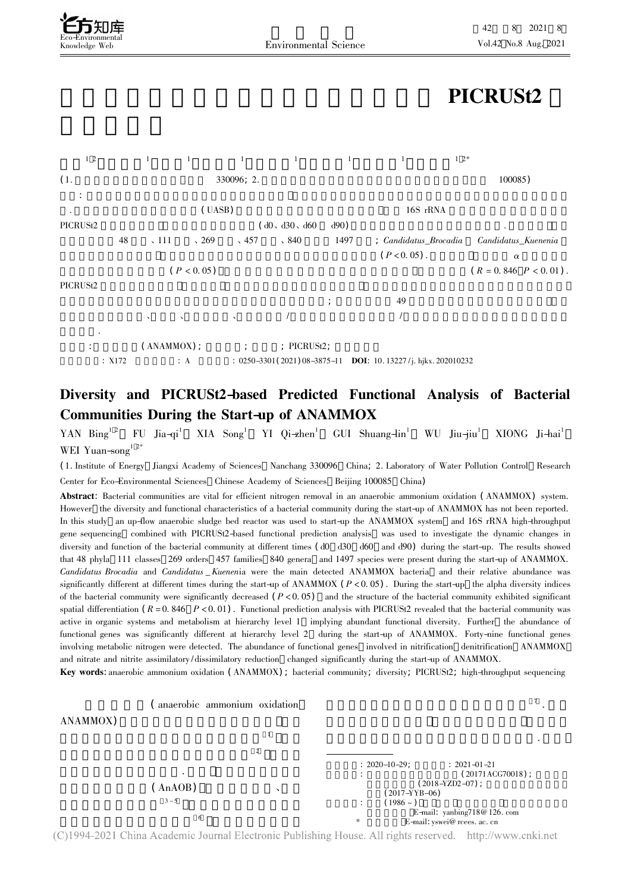# PICRUSt2



## Diversity and PICRUSt2-based Predicted Functional Analysis of Bacterial Communities During the Start-up of ANAMMOX

YAN Bing<sup>1 2</sup> FU Jia-qi<sup>1</sup> XIA Song<sup>1</sup> YI Qi-zhen<sup>1</sup> GUI Shuang-lin<sup>1</sup> WU Jiu-jiu<sup>1</sup> XIONG Ji-hai<sup>1</sup> WEI Yuan-song<sup>1 2\*</sup>

WEI Yuan–song<br>(1. Institute of Energy Jiangxi Academy of Sciences Nanchang 330096 China; 2. Laboratory of Water Pollution Control Research<br>Center for Eco-Environmental Sciences Chinese Academy of Sciences Beijing 100085 Ch Center for Eco-Environmental Sciences Chinese Academy of Sciences Beijing 100085 China)

Abstract: Bacterial communities are vital for efficient nitrogen removal in an anaerobic ammonium oxidation (ANAMMOX) system. However the diversity and functional characteristics of a bacterial community during the start-up of ANAMMOX has not been reported. In this study an up-flow anaerobic sludge bed reactor was used to start-up the ANAMMOX system and 16S rRNA high-throughput gene sequencing combined with PICRUSt2-based functional prediction analysis was used to investigate the dynamic changes in diversity and function of the bacterial community at different times (d0 d30 d60 and d90) during the start-up. The results showed that 48 phyla 111 classes 269 orders 457 families 840 genera and 1497 species were present during the start-up of ANAMMOX. that 48 phyla 111 classes 129 orders 467 families 840 genera and 1497 species were present during the start-up of ANAMMOX. and *Candidatus* \_*Kuenenia* were the main detected ANAMMOX bacteria and their relative abundance was<br>at different times during the start-up of ANAMMOX ( $P < 0.05$ ). During the start-up the alpha diversity indices significantly different at different times during the start-up of ANAMMOX ( $P < 0.05$ ). During the start-up the alpha diversity indices of the bacterial community were significantly decreased ( $P < 0.05$ ) and the structure of the bacterial community were significantly decreased  $(P < 0.05)$  and the structure of the bacterial community exhibited significant spatial differentiation  $(R = 0.846 \quad P < 0.01)$ . Functional prediction analysis with PICRU spatial differentiation ( $R = 0.846$   $P < 0.01$ ). Functional prediction analysis with PICRUSt2 revealed that the bacterial community was functional genes was significantly different at hierarchy level 2 during the start-up of ANAMMOX. Forty-nine functional genes involving metabolic nitrogen were detected. The abundance of functional genes involved in nitrification denitrification ANAMMOX and nitrate and nitrite assimilatory/dissimilatory reduction changed significantly during the start-up of ANAMMOX.

**Key words:** anaerobic ammonium oxidation (ANAMMOX); bacterial community; diversity; PICRUSt2; high-throughput sequencing



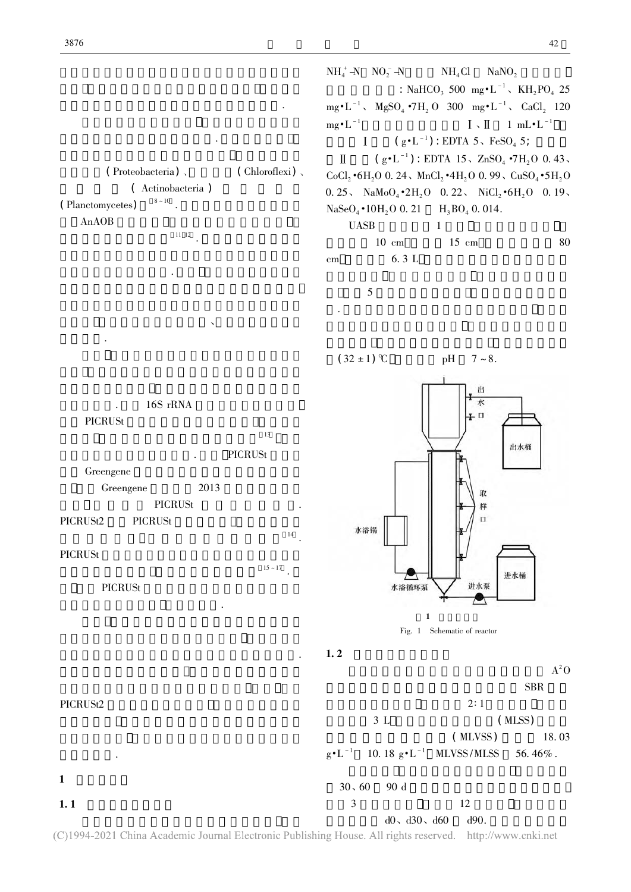$\sim$ Proteobacteria) 、 (Chloroflexi) 、<br>( Actinobacteria )  $\mathcal{O}(\mathcal{O})$ Actinobacteria )<br> $8 \times 10$ (Planctomycetes) Planctomycetes)  $8^{3 \times 10}$ .<br>AnAOB

. 已有研究发现

AnAOB  $\frac{11}{12}$ . 浮霉菌门丰度明显提升 11 12 . 现有的研究结果为人 .  $\mathcal{L}_{\mathcal{A}}$ 

 $\Delta$ 

. 16S rRNA<br>St PICRUSt  $^{13}$  $\frac{13}{\pi}$ PICRUSt Greengene 2013 Greengene 数据库在 2013 年之后就停止了

PICRUSt .<br>USt PICRUSt2 PICRUSt  $^{14}$ .  $\frac{14}{14}$ PICRUSt  $^{15 \times 17}$ .

 $15 \sim 17$ PICRUSt  $\cdot$ 

42  $NH_4$   $\rightarrow$   $NO_2$  $\text{NH}_4\text{Cl}$   $\text{NaNO}_2$ <br>: NaHCO<sub>3</sub> 500 mg  $\text{H}^{-1}$ ,  $\text{KH}_2\text{PO}_4$  25 其他 组 分 包 括: NaHCO<sub>3</sub> 500 mg•L - 1, KH<sub>2</sub>PO<sub>4</sub> 25<br>
•7H<sub>2</sub> O 300 mg•L<sup>-1</sup>, CaCl<sub>2</sub> 120 mg•L -  $MgSO_4$  •/H<sub>2</sub> O 300 mg•L - CaCl<sub>2</sub> 120<br>mg•L<sup>-1</sup>  $I \vee II$  1 mL•L<sup>-1</sup> mg<sup>•</sup>L<sup>-1</sup><br>  $I \sim \Pi$  1 mL•L<sup>-1</sup><br>  $I \sim \Pi$  1 mL•L<sup>-1</sup><br>  $I \sim \Pi$  1 mL•L<sup>-1</sup>  $\mathbf{I}$  $(g \cdot L^{-1})$ : EDTA 15,  $ZnSO_4 \cdot 7H_2O$  0.43,  $\mathbb{I}$  $(g \cdot L^{-1})$ : EDTA 15, ZnSO<sub>4</sub>  $\cdot$ 7H<sub>2</sub>O 0. 43,<br>  $\cdot$ 6H<sub>2</sub>O 0. 24, MnCl<sub>2</sub> $\cdot$ 4H<sub>2</sub>O 0. 99, CuSO<sub>4</sub> $\cdot$ 5H<sub>2</sub>C  $0.25$ , NaMo $O_4$  •2H<sub>2</sub>O 0. 22, NiCl<sub>2</sub> •6H<sub>2</sub>O 0. 19,<br>NaSeO<sub>4</sub> •10H<sub>2</sub>O 0. 21 H<sub>3</sub>BO<sub>4</sub> 0. 014.  $NaSeO<sub>4</sub> \cdot 10H<sub>2</sub>O$  $H_3BO_4$  0. 014. UASB  $\text{SB}$  1 UASB  $1$ <br>10 cm  $15$  cm 10 cm 15 cm 80<br>6.3 L cm  $6.3 \text{ L}$ 

 $5$ . 反应器进水由蠕动泵从底部进水口泵入 反应生

 $(32 \pm 1)$  °C



 $1.2$ 

PICRUSt2 ?  $1$  $1.1$  $A^2O$ **SBR**  $2:1$  (MLSS) 3 L  $(MLSS)$ <br>( $MLVSS$ ) 18.03  $\mathcal{N}$ MLVSS) 18.03<br>SS/MLSS 56.46%.  $g^{\bullet}$ L 10. 18  $g^{\bullet}$ L MLVSS/MLSS 56. 46%.  $30 \times 60$  90 d<br>  $3$  12 3  $12$ <br>d0, d30, d60 d90.

(C)1994-2021 China Academic Journal Electronic Publishing House. All rights reserved. http://www.cnki.net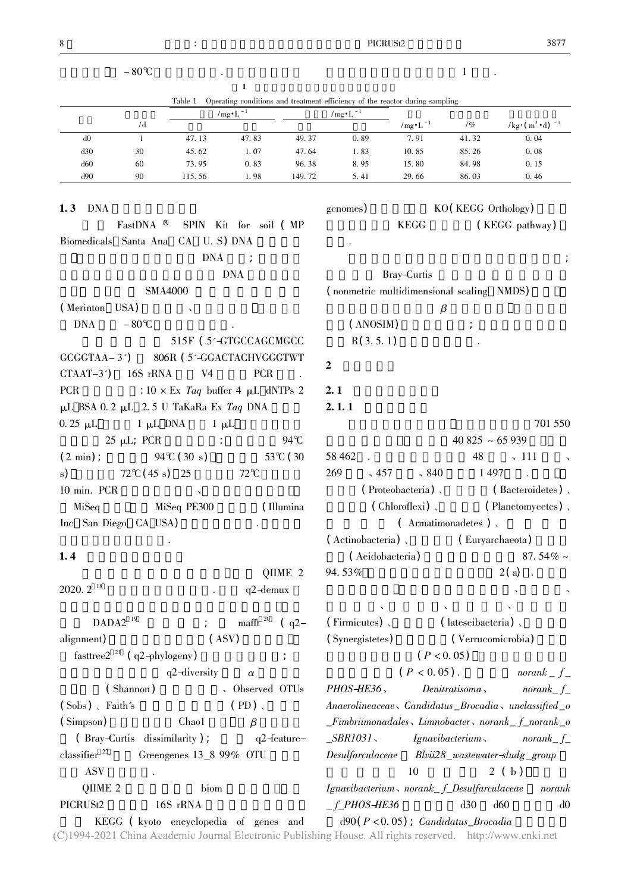| 8                      |                                  |                                                 |                       |           |                                                                                                          | PICRUSt <sub>2</sub> |                               |                                | 3877          |
|------------------------|----------------------------------|-------------------------------------------------|-----------------------|-----------|----------------------------------------------------------------------------------------------------------|----------------------|-------------------------------|--------------------------------|---------------|
|                        | $-80^{\circ}C$                   |                                                 |                       |           |                                                                                                          |                      | $\mathbf{1}$                  |                                |               |
|                        |                                  |                                                 | 1                     |           |                                                                                                          |                      |                               |                                |               |
|                        |                                  | Table 1                                         |                       |           | Operating conditions and treatment efficiency of the reactor during sampling                             |                      |                               |                                |               |
|                        | /d                               |                                                 | $/mg \cdot L^{-1}$    |           | $/mg \cdot L^{-1}$                                                                                       | $/mg \cdot L^{-1}$   | 1%                            | $/kg \cdot (m^3 \cdot d)^{-1}$ |               |
| d0                     | $\mathbf{1}$                     | 47.13                                           | 47.83                 | 49.37     | 0.89                                                                                                     | 7.91                 | 41.32                         | 0.04                           |               |
| d30                    | 30                               | 45.62                                           | 1.07                  | 47.64     | 1.83                                                                                                     | 10.85                | 85.26                         | 0.08                           |               |
| d60                    | 60                               | 73.95                                           | 0.83                  | 96.38     | 8.95                                                                                                     | 15.80                | 84.98                         | 0.15                           |               |
| d90                    | 90                               | 115.56                                          | 1.98                  | 149.72    | 5.41                                                                                                     | 29.66                | 86.03                         | 0.46                           |               |
|                        |                                  |                                                 |                       |           |                                                                                                          |                      |                               |                                |               |
| DNA<br>1, 3            |                                  |                                                 |                       |           | genomes)                                                                                                 |                      | KO (KEGG Orthology)           |                                |               |
|                        | FastDNA <sup>®</sup>             |                                                 | SPIN Kit for soil (MP |           |                                                                                                          | <b>KEGG</b>          |                               | (KEGG pathway)                 |               |
|                        |                                  | Biomedicals Santa Ana CA U.S) DNA               |                       |           |                                                                                                          |                      |                               |                                |               |
|                        |                                  | <b>DNA</b>                                      |                       |           |                                                                                                          |                      |                               |                                |               |
|                        |                                  |                                                 | <b>DNA</b>            |           |                                                                                                          | Bray-Curtis          |                               |                                |               |
|                        |                                  | <b>SMA4000</b>                                  |                       |           | (nonmetric multidimensional scaling NMDS)                                                                |                      |                               |                                |               |
| (Merinton USA)         |                                  |                                                 |                       |           |                                                                                                          |                      | $\beta$                       |                                |               |
| <b>DNA</b>             | $-80^{\circ}C$                   |                                                 |                       |           | (ANOSIM)                                                                                                 |                      |                               |                                |               |
|                        |                                  | 515F (5'-GTGCCAGCMGCC                           |                       |           | R(3.5.1)                                                                                                 |                      |                               |                                |               |
| $GCGGTAA-3$            |                                  | 806R (5'-GGACTACHVGGGTWT                        |                       |           | $\overline{2}$                                                                                           |                      |                               |                                |               |
| $CTAAT-3$ <sup>2</sup> | 16S rRNA                         | V <sub>4</sub>                                  | <b>PCR</b>            |           |                                                                                                          |                      |                               |                                |               |
| <b>PCR</b>             |                                  | : $10 \times Ex$ <i>Taq</i> buffer 4 µL dNTPs 2 |                       |           | 2.1                                                                                                      |                      |                               |                                |               |
|                        |                                  | μL BSA 0.2 μL 2.5 U TaKaRa Ex Taq DNA           |                       |           | 2.1.1                                                                                                    |                      |                               |                                |               |
| $0.25 \mu L$           | $1 \mu L$ DNA                    | $1 \mu L$                                       |                       |           |                                                                                                          |                      |                               |                                | 701 550       |
|                        | $25 \mu L$ ; PCR                 |                                                 |                       | 94°C      |                                                                                                          |                      | $40825 - 65939$               |                                |               |
| $(2 \text{ min})$ ;    |                                  | $94^{\circ}$ C (30 s)                           |                       | 53°C (30  | 58 4 62                                                                                                  |                      | 48                            | $\sqrt{111}$                   |               |
| s)                     | $72^{\circ}C(45 s)$ 25           |                                                 | $72^{\circ}C$         |           | 269<br>$\sqrt{457}$                                                                                      | $\sqrt{840}$         | 1 4 9 7                       |                                |               |
| 10 min. PCR            |                                  |                                                 |                       |           |                                                                                                          | (Proteobacteria),    |                               | $($ Bacteroidetes $)$ ,        |               |
| MiSeq                  |                                  | MiSeq PE300                                     |                       | (Illumina |                                                                                                          | ( Chloroflexi)       |                               | (Planctomycetes),              |               |
| Inc San Diego CA USA)  |                                  |                                                 |                       |           |                                                                                                          |                      | $($ Armatimonadetes),         |                                |               |
|                        |                                  |                                                 |                       |           | (Actinobacteria)                                                                                         |                      |                               |                                |               |
|                        |                                  |                                                 |                       |           |                                                                                                          |                      | (Euryarchaeota)               |                                |               |
| 1.4                    |                                  |                                                 |                       |           |                                                                                                          | (Acidobacteria)      |                               |                                | 87.54% $\sim$ |
|                        |                                  |                                                 |                       | QIIME 2   | 94.53%                                                                                                   |                      |                               | $2(a)$ .                       |               |
| $2020.2$ <sup>18</sup> |                                  |                                                 | $q2$ -demux           |           |                                                                                                          |                      |                               |                                |               |
|                        |                                  |                                                 |                       |           |                                                                                                          |                      |                               |                                |               |
|                        | $DADA2$ <sup>19</sup>            | $\mathcal{L} = \mathcal{L}$                     | mafft $20$ (q2-       |           | (Firmicutes),                                                                                            |                      | $($ latescibacteria $)$ ,     |                                |               |
| alignment)             |                                  | $($ ASV $)$                                     |                       |           | (Synergistetes)                                                                                          |                      | (Verrucomicrobia)             |                                |               |
|                        | fasttree $2^{21}$ (q2-phylogeny) |                                                 |                       |           |                                                                                                          |                      | (P < 0.05)                    |                                |               |
|                        |                                  | q2-diversity                                    | $\alpha$              |           |                                                                                                          | $(P < 0.05)$ .       |                               | $normal_{f}$                   |               |
|                        | (Shannon)                        |                                                 | 、Observed OTUs        |           | PHOS-HE36                                                                                                |                      | Denitrations                  | norank $-f$                    |               |
| $(Sobs)$ , Faith's     |                                  |                                                 | $(PD)$ .              |           | Anaerolineaceae, Candidatus_Brocadia, unclassified_o                                                     |                      |                               |                                |               |
| (Simpson)              |                                  | Chao1                                           | $\beta$               |           | $\_Fimbrii monadales \sim Limnobacter \sim norank\_f\_normal\_o$                                         |                      |                               |                                |               |
|                        | (Bray-Curtis dissimilarity);     |                                                 | $q2$ -feature-        |           | $\_SBR1031$                                                                                              |                      | $I$ gnavibacterium norank $f$ |                                |               |
| classifier $22$        |                                  | Greengenes 13_8 99% OTU                         |                       |           | Desulfarculaceae Blvii28_wastewater-sludg_group                                                          |                      |                               |                                |               |
| <b>ASV</b>             |                                  |                                                 |                       |           |                                                                                                          | 10                   |                               | 2(b)                           |               |
| QIIME 2                |                                  | biom                                            |                       |           | Ignavibacterium, norank_f_Desulfarculaceae                                                               |                      |                               |                                | norank        |
| PICRUSt2               |                                  | 16S rRNA                                        |                       |           | $-f_P$ HOS-HE36                                                                                          |                      | d30                           | d60                            | d0            |
|                        |                                  | KEGG (kyoto encyclopedia of genes and           |                       |           | $d90(P<0.05)$ ; Candidatus_Brocadia                                                                      |                      |                               |                                |               |
|                        |                                  |                                                 |                       |           | C)1994-2021 China Academic Journal Electronic Publishing House. All rights reserved. http://www.cnki.net |                      |                               |                                |               |

3877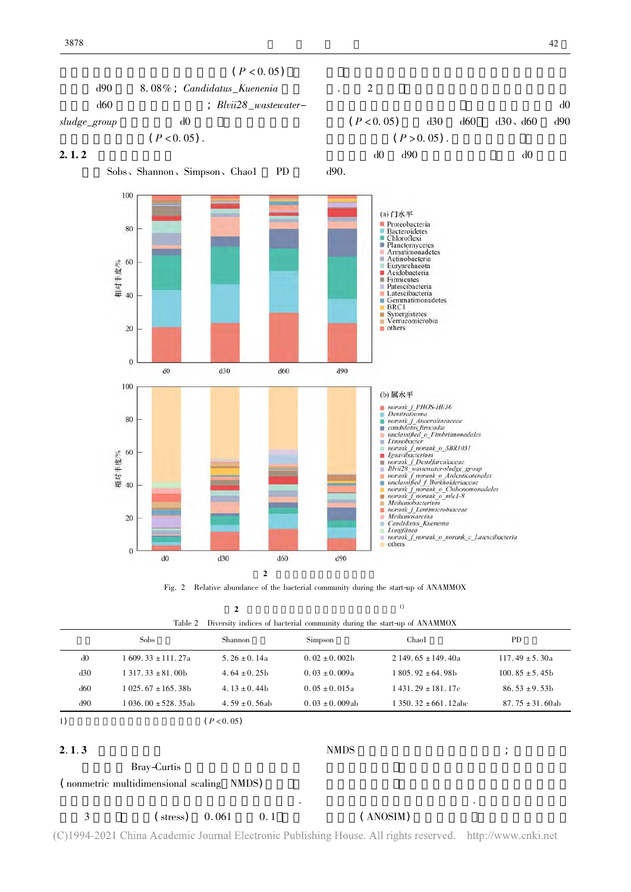

 $\sigma$ 

| Table 2 Diversity indices of bacterial community during the start-up of ANAMMOX |  |  |
|---------------------------------------------------------------------------------|--|--|

|     | $\sim$                  |                    |                    |                          |                      |  |  |
|-----|-------------------------|--------------------|--------------------|--------------------------|----------------------|--|--|
|     | <b>Sobs</b>             | Shannon            | Simpson            | Chao1                    | PD                   |  |  |
| d0  | $1609.33 \pm 111.27a$   | 5.26 $\pm$ 0.14a   | $0.02 \pm 0.002$ b | $2149.65 \pm 149.40a$    | $117.49 \pm 5.30a$   |  |  |
| d30 | $1,317,33 \pm 81,00$    | $4.64 \pm 0.25$ b  | $0.03 \pm 0.009a$  | $1805.92 \pm 64.98$ h    | $100.85 \pm 5.45$    |  |  |
| d60 | $1.025.67 \pm 165.38$ b | 4.13 $\pm$ 0.44b   | $0.05 \pm 0.015$ a | $1431.29 \pm 181.17c$    | $86.53 \pm 9.53$ b   |  |  |
| d90 | $1036.00 \pm 528.35ab$  | $4.59 \pm 0.56$ ab | $0.03 \pm 0.009ab$ | $1350.32 \pm 661.12$ abc | $87.75 \pm 31.60$ ab |  |  |
| 1)  |                         | $P < 0.05$ )       |                    |                          |                      |  |  |
|     |                         |                    |                    |                          |                      |  |  |

### $2.1.3$

Bray-Curtis

Bray-Curtis<br>
( nonmetric multidimensional scaling NMDS)<br>
.

 $\sim$ 

 $NMDS$  ;

. 而微生物群落相似

3 (atress) 0.061 0.1 (ANOSIM)<br>4-2021 China Academic Journal Electronic Publishing House. All rights reserved. http://www.cnki.net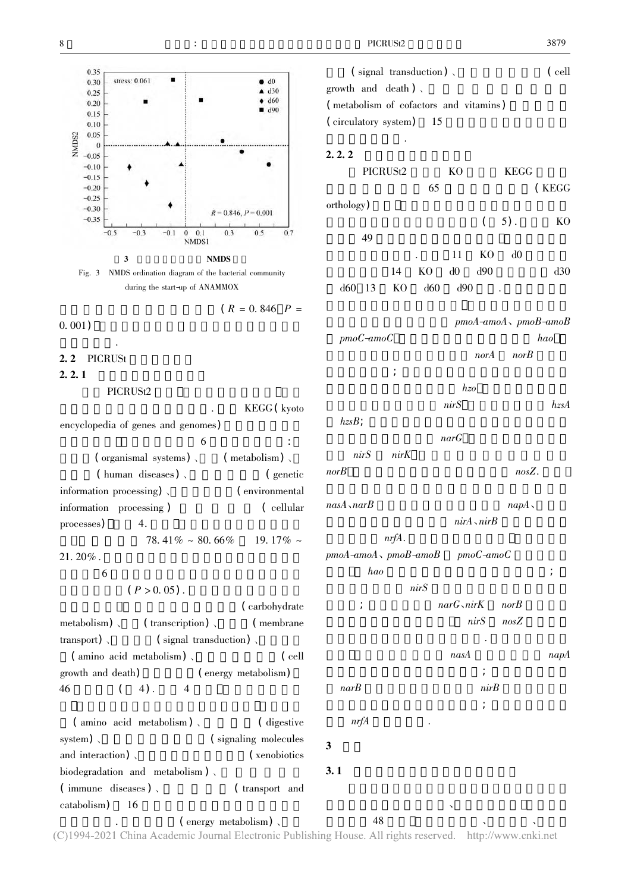



 $(R<sub>1</sub> - R<sub>2</sub>)$  $(R = 0.846$   $P =$ 

 $(0.001)$  ,  $(0.001)$  ,  $(0.001)$ 

#### .<br>J 2. 2 **PICRUSt**

### $2.2.1$

PICRUSt2<br>REGG ( kyoto ) REGG ( kyoto )  $\sim$ 

. 利用 KEGG( kyoto encyclopedia of genes and genomes)  $6 \n3$ (metabolism),  $\mathcal{M}(\mathcal{A})$ (organismal systems) (metabolism) (human diseases) (enetic  $\mathcal{A}$ (human diseases) (enetic information processing) (environmental information processing)、 ( environmental<br>information processing ) ( cellular information processing ) ( cellular<br>processes) 4. processes) 4.  $78.41\% \approx 80.66\%$  19.17%  $\approx$ 

21. 20% .  $\frac{6}{5}$ 

6  $(P > 0.05)$ .

(carbohydrate)  $\sim$ (membrane metabolism) 、 (transcription) 、 (transport) 、 (signal transduction) 、 transport) 、信号传导( signal transduction) 、氨基酸代 ( amino acid metabolism) 、 ( cell<br>th and death) ( energy metabolism) growth and death)  $\qquad \qquad$  (energy metabolism)<br>46  $\qquad \qquad$  (4). 4  $46$  ( 4) . 4

 $\begin{array}{ccc} \text{( amino } \text{ acid } \text{ metabolism)} \ , \ \text{( amino } \text{ acid } \text{ } \text{ metabolism)} \ \end{array}$  (signaling molecules system) 、 (signaling molecules and interaction) 、 (signaling molecules and interaction)  $\langle \rangle$  (xenobiotics) (xenobiotics) biodegradation and metabolism),<br>  $\mbox{(immune diseases)}$ ,  $\mbox{(transport and}$ ( immune diseases ) 、 ( transport and catabolism) 16 catabolism) 16 (energy metabolism)

 $f$  $\left( \text{ signal transduction} \right)$ ,  $\left( \text{ cell} \right)$ growth and death).<br>
( metabolism of cofactors and vitamins)<br>
( circulatory system) 15  $(\text{circulatory system})$  15  $2, 2, 2$ PICRUSt2 KO KEGG<br>65 (KEGG 65 (KEGG) orthology)  $(5)$ . KO 测的具有氮代谢功能的相关基因( 5). KO 49  $\sim$  11 KO d0 . 11 KO d0<br>
KO d0 d90 d30 14 KO d0 d90 d30<br>
KO d60 d90 . d60 13 KO d60 d90.  $pmod{-a}$  pmo $A$ -amo $B$  $pmoC-amoC$  hao  $norA$  nor $B$  $\frac{1}{2}$ hzo kasar hasa 有的亚硝酸还原酶基因 nirS 联胺合成酶基因 hzsA  $hz$ s $B$ ;  $n a r G$  $nirS$  anim $K$  $norB$  and  $nosZ$ . 同时  $nasA \triangle narB$  and  $napA \triangle narB$ nirA、nirB  $nrfA$ .  $pmo$ C-amoC  $pmod{-amod}$ ,  $pmod{B\text{-}amod}$  $hao$  ;  $nirS$  $narG \triangle in iK$  norB  $nirS$  nosZ . <br>  $\label{eq:map} napA$  $nasA$  and  $napA$ 丰度呈先降低后升高的变化趋势; 硝酸盐同化还原  $narB$  and  $nirB$ 先下降后升高又下降的变化趋势; 亚硝酸盐异化还  $nrfA$ 3 讨论  $3.1$ 启动过程中细菌群落组成、多样性及结构 门水平上

(energy metabolism)<br>
China Academic Journal Electronic Publishing House. All rights reserved. http://www.cnki.net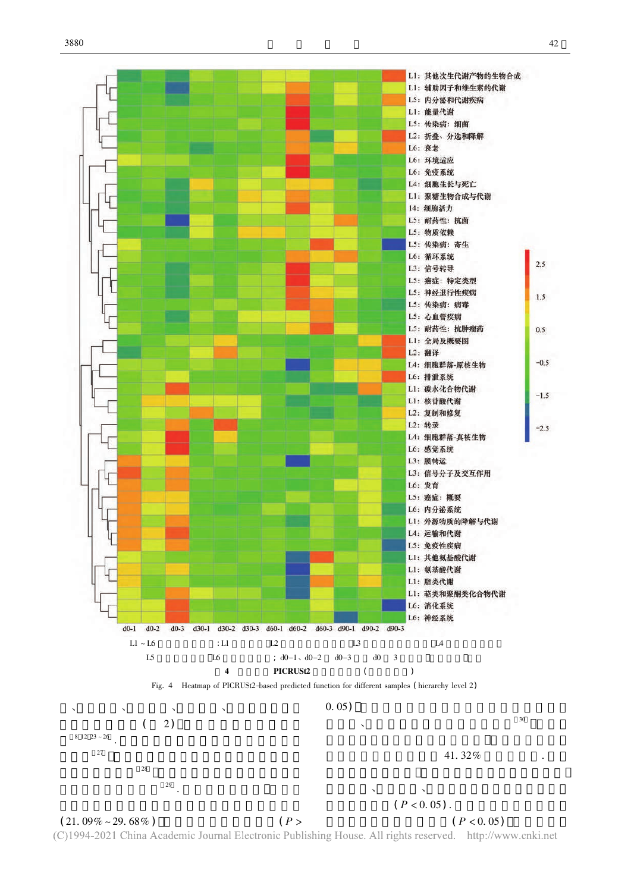

 $(21.09\% \sim 29.68\%)$ 21. 09% ~ 29. 68%)<br>  $(P >$  ( $P < 0.05$ )<br>
2021 China Academic Journal Electronic Publishing House. All rights reserved. http://www.cnki.net  $(P < 0.05)$  $(P<sub>1</sub>)$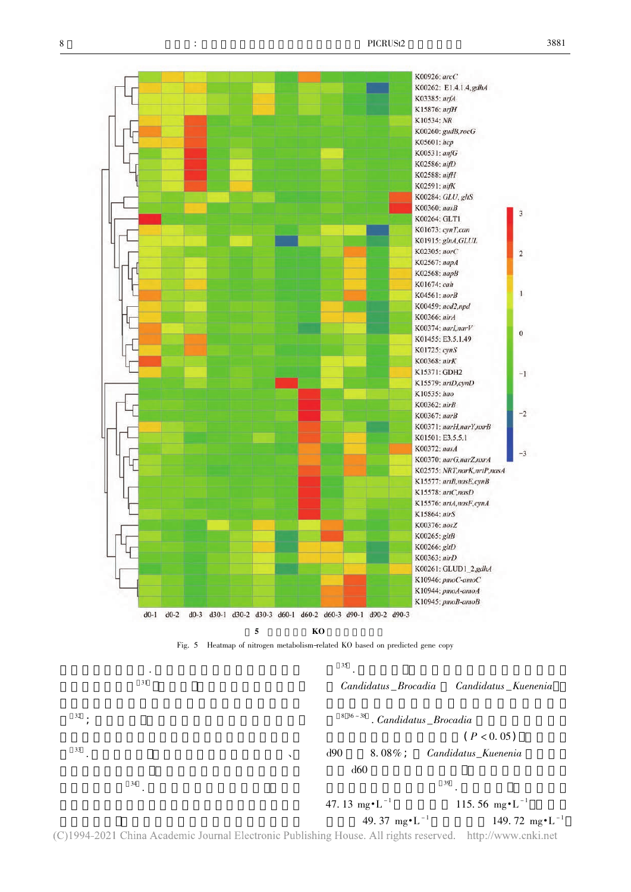

(C)1994-2021 China Academic Journal Electronic Publishing House. All rights reserved. http://www.cnki.net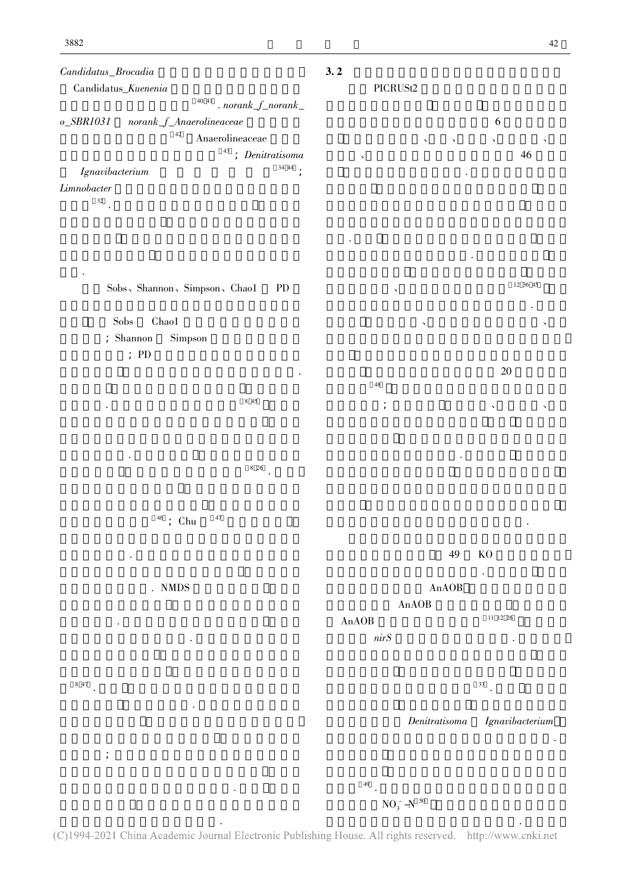

.<br>0 (C)1994-2021 China Academic Journal Electronic Publishing House. All rights reserved. http://www.cnki.net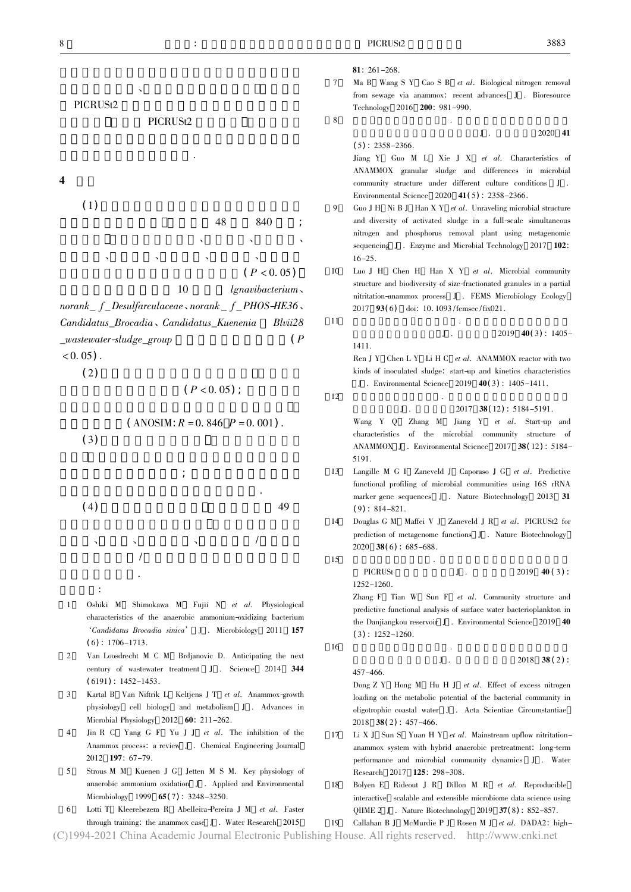where  $\Delta$  is a strongly defined as a strongly defined as  $\Delta$ 

 $J$  .  $2020$  41

81:  $261 - 268$ 

7 MaB Wang S Y Cao S B *et al.* Biological nitrogen removal<br>from sewage via anammox: recent advances J . Bioresource from sewage via anammox: recent advances J . Bioresource Technology 2016 <sup>200</sup>: 981-990.

8  $J \t 2020 \t 41$ 

 $(5): 2358 - 2366.$ 5) : 2358-2366. Jiang Y Guo M L Xie J X *et al*. Characteristics of ANAMMOX granular sludge and differences in microbial ANAMMOX granular sludge and differences in microbial Environmental Science 2020  $41(5)$  . 2358-2366.

- $Guo J H$  Ni B J Han X Y *et al.* Unraveling microbial structure and diversity of activated sludge in a full-scale simultaneous nitrogen and phosphorus removal plant using metagenomic nitrogen and phosphorus removal plant using metagenomic removal plant using metagenomic removal plant using metagenomic removal of  $\frac{1}{2}$  and  $\frac{1}{2}$  and  $\frac{1}{2}$  and  $\frac{1}{2}$  and  $\frac{1}{2}$  and  $\frac{1}{2}$  and  $\frac{1}{2$ 16-25.<br>Luo J H Chen H Han X Y et al. Microbial community
- 10 Luo J H Chen H Han X Y *et al.* Microbial community structure and biodiversity of size-fractionated granules in a partial nitritation-anammox process J . FEMS Microbiology Ecology 2017 93(6) doi: 10. 1093 /femsec /fix021.
- 11  $J = \frac{2019 \cdot 40(3)}{11}$  .  $J$  . 2019 40(3): 1405- $1411.$ Ren J Y Chen L Y Li H C *et al.* ANAMMOX reactor with two kinds of inoculated sludge: start-up and kinetics characteristics kinds of inoculated sludge: start-up and kinetics characteristics<br> $J$ . Environmental Science 2019 40(3): 1405-1411. J . Environmental Science 2019 **40(3)**: 1405-1411.
	-

12  $J \t3917 \t38(12): 5184-5191.$ 

Wang Y Q Zhang M Jiang Y et al. Start-up and characteristics of the microbial community structure of ANAMMOX J . Environmental Science 2017  $38(12)$  : 5184-5191.

- 13 Langille M G I Zaneveld J Caporaso J G *et al.* Predictive functional profiling of microbial communities using 16S rRNA marker gene sequences  $J$ . Nature Biotechnology 2013 31<br>(9): 814-821.  $(9): 814-821.$
- 14 Douglas G M  $\,$  Maffei V  $\,$  J  $\,$  Zaneveld J R  $\,$   $\,$  et  $\,$  al. PICRUSt2 for prediction of metagenome functions  $\,$  J  $\,$  . Nature Biotechnology
	- PICRUSt  $J$  .  $2019 \t 40 (3)$  :<br> $52-1260$ .

Zhang F Tian W Sun F *et al.* Community structure and predictive functional analysis of surface water bacterioplankton in predictive functional analysis of the Danjiangkou reservoir J . Environmental Science 2019 40<br>(3): 1252–1260.

 $J$  .  $2018$  38 ( 2) :

loading on the metabolic potential of the bacterial community in oligotrophic coastal water J . Acta Scientiae Circumstantiae

- 17 Li X J Sun S Yuan H Y *et al.* Mainstream upflow nitritation-anammox system with hybrid anaerobic pretreatment: long-term anammox system with hybrid anaerobic pretreatment: long-term<br>performance and microbial community dynamics  $J$ . Water
- 18 Bolyen E Rideout J R Dillon M R *et al.* Reproducible interactive scalable and extensible microbiome data science using microbiole and extensible microbiometric microbiometric QIIME 2 J. Nature Biotechnology 2019 37(8): 852-857.<br>Callahan B J McMurdie P J Rosen M J *et al.* DADA2: high-
- /异化还原 Microbial Physiology 2012 **60**: 211-262.<br>Jin R C Yang G F Yu J J *et al.* The inhibition of the Microbiology 1999 65(7): 3248–3250.<br>Lotti T Kleerebezem R Abelleira-Perei 9) : 814–821.<br>)ouglas G M prediction of metagenome functions J . Nature Biotechnology 2020 <sup>38</sup>( 6) : 685-688. 15  $\blacksquare$   $\blacksquare$   $\blacksquare$   $\blacksquare$   $\blacksquare$   $\blacksquare$   $\blacksquare$   $\blacksquare$   $\blacksquare$   $\blacksquare$   $\blacksquare$   $\blacksquare$   $\blacksquare$   $\blacksquare$   $\blacksquare$   $\blacksquare$   $\blacksquare$   $\blacksquare$   $\blacksquare$   $\blacksquare$   $\blacksquare$   $\blacksquare$   $\blacksquare$   $\blacksquare$   $\blacksquare$   $\blacksquare$   $\blacksquare$   $\blacksquare$   $\blacksquare$   $\blacksquare$   $\blacksquare$   $(3)$ : 1252–1260. 16  $J$  .  $2018 \t38(2)$ : 457–466.<br>Dong Z Y Hong M Hu H J et al. Effect of excess nitrogen  $2018$  **38**(2):  $457-466$ . 2018 **38(2)**: 457-466.<br>Li X J Sun S Yuan H Performance and microbial community dynamics J . Water<br>
Research 2017 125: 298–308.<br>
Bolyen E Rideout J R Dillon M R *et al.* Reproducible
- 6 Lotti T Kleerebezem R Abelleira-Pereira J M *et al.* Faster through training: the anammox case J . Water Research 2015

through training: the anammox case J . Water Research 2015 19 Callahan B J McMurdie P J Rosen M J *et al.* DADA2: high-4-2021 China Academic Journal Electronic Publishing House. All rights reserved. http://www.cnki.net



10 lgnavibacterium<br>10 norank\_f\_Desulfarculaceae \norank\_f\_PHOS-HE36<br>26'Candidatus\_Brocadia \candidatus\_Kuenenia Blvii Candidatus\_Brocadia、Candidatus\_Kuenenia Blvii28  $_wa$ stewater-sludge $_g$ roup  $(P \cdot P)$  $(0.05)$ .  $(2)$ 2)  $(P < 0.05)$ ;

 $\mathcal{L}$ 

 $(P<sub>1</sub>)$  $(P < 0.05)$ ;

 $($  ANOSIM:  $R = 0.846$   $P = 0.001$ ).



- 1 Oshiki M Shimokawa M Fujii N *et al.* Physiological characteristics of the anaerobic ammonium-oxidizing bacterium characteristics of the anaerobic ammonium-oxidizing bacterium 'Candidatus Brocadia sinica' J . Microbiology 2011 <sup>157</sup>  $(6): 1706 - 1713.$
- $\mathcal{L}$ Van Loosdrecht M C M Brdjanovic D. Anticipating the next 2 Van Loosdreen M C M Brdjanovic D. Anticipating the next<br>century of wastewater treatment J . Science 2014 344<br>(6191): 1452–1453.  $(6191): 1452 - 1453.$ 6191) : 1452-1453.
- 3 Kartal B Van Niftrik L Keltjens J T *et al.* Anammox-growth physiology cell biology and metabolism J . Advances in
- 4 Jin R C Yang G F Yu J J et al. The inhibition of the Anammox process: a review J. Chemical Engineering Journal 2012 197: 67-79.
- Strous M M Kuenen J G Jetten M S M. Key physiology of  $\overline{\phantom{a}}$ anaerobic ammonium oxidation J . Applied and Environmental Microbiology 1999  $65(7)$  . 3248-3250.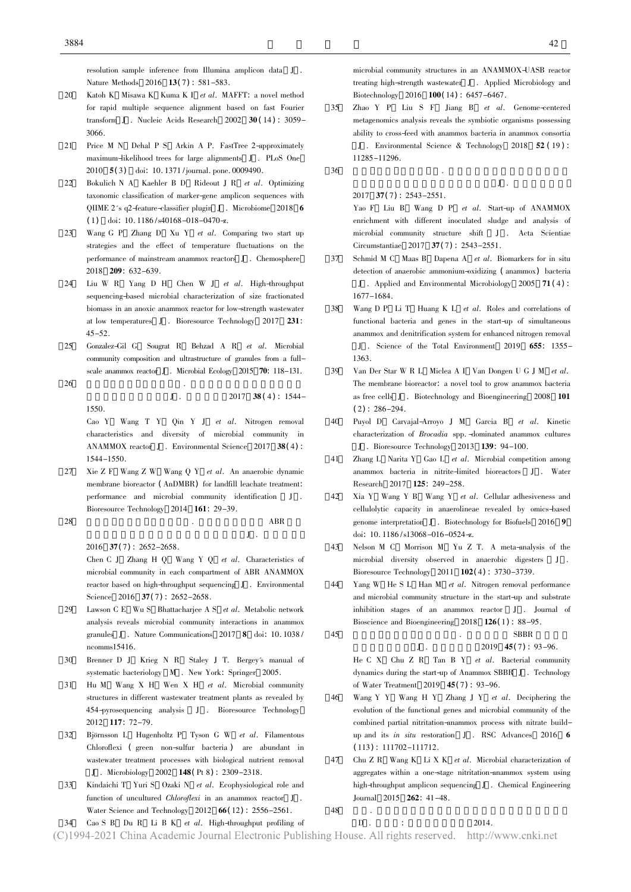resolution samples in ference from Indiana amplication data Matter from Indiana K .<br>Nature Methods Mina K . Henry H . Hall . MAFFT: a novel method

- 20 Katoh K Misawa K Kuma K I *et al.* MAFFT: a novel method for rapid multiple sequence alignment based on fast Fourier transform J . Nucleic Acids Research 2002  $30(14)$  : 3059-<br>3066. 3066.<br>Price M N Dehal P S Arkin A P. FastTree 2-approximately
- 21 Price M N Dehal P S Arkin A P. FastTree 2-approximatel<br>maximum-likelihood trees for large alignments J. PLoS One 2010  $5(3)$  doi: 10.1371/journal. pone. 0009490. 2010  $5(3)$  doi: 10. 1371 /journal. pone. 0009490.<br>Bokulich N A Kaehler B D Rideout J R *et al*.
- 22 Bokulich N A Kaehler B D Rideout J R *et al.* Optimizing taxonomic classification of marker-gene amplicon sequences with QIIME 2's q2-feature-classifier plugin J. Microbiome 2018 6<br>
(1) doi: 10.1186/s40168-018-0470-z. (1) doi:  $10.1186$  /s $40168 - 018 - 0470 - z$ .
- 1) doi: 10. 1186/s40168–018–0470-z.<br><sup>7</sup>ang G P Zhang D Xu Y *et al*. C 23 Wang G P Zhang D Xu Y *et al.* Comparing two start up strategies and the effect of temperature fluctuations on the strategies and the effect of temperature fluctuations on the performance of mainstream anammox reactors **J** . Chemosphere 2018 **209**: 632-639.
- 2018 209: 632-639.<br>Liu W R Yang D 24 Liu W R Yang D H Chen W J *et al.* High-throughput sequencing-based microbial characterization of size fractionated sequencing-based microbial characterization of size fractionated<br>biomass in an anoxic anammox reactor for low-strength wastewater at low temperatures  $J$ . Bioresource Technology 2017 231:<br>45-52.
- 25 Gonzalez-Gil G Sougrat R Behzad A R *et al.* Microbial community composition and ultrastructure of granules from a fullscale anammox reactor J . Microbial Ecology 2015 70: 118-131.
- 

1550

26  $J = \frac{2017 \cdot 38(4) \cdot 1544}{2017 \cdot 38(4)}$  $J$  . 2017 **38 (**4) : 1544-

Cao Y Wang T Y Qin Y J et al. Nitrogen removal characteristics and diversity of microbial community in ANAMMOX reactor J . Environmental Science 2017  $38(4)$  :<br>1544–1550.

- 27 Xie Z F Wang Z W Wang Q Y *et al.* An anaerobic dynamic membrane bioreactor (AnDMBR) for landfill leachate treatment: membrane bioreactor (AnDMBR) for landfill leachate treatment:<br>performance and microbial community identification J. performance and microbial community is expected. The microbial community is expected. The microbial community is expected.
- $28$  and  $\overline{ABR}$  . ABR  $J$ .

2016 37(7): 2652-2658.<br>Chen C J Zhang H Q V Chen C J Zhang H Q Wang Y Q et al. Characteristics of microbial community in each compartment of ABR ANAMMOX microbial community in each compartment of ABR ANAMMOX reactor based on high-throughput sequencing J . Environmental Science 2016 37(7): 2652-2658.<br>Lawson C E Wu S Bhattacharjee A S *et al*. Metabolic network

- 29 Lawson C E Wu S Bhattacharjee A S  $et$  al. Metabolic network analysis reveals microbial community interactions in anammox analysis reveals microbial communications 2017 8 doi: 10. 1038 /<br>granules J . Nature Communications 2017 8 doi: 10. 1038 /
- Brenner D J Krieg N R Staley J T. Bergey's manual of 30 Brenner D J Krieg N R Staley J T. Bergey's man<br>systematic bacteriology M . New York: Springer 2005.
- systematic bacteriology M . New York: Springer 2005.<br>Hu M Wang X H Wen X H *et al.* Microbial com 31 Hu M Wang X H Wen X H et al. Microbial community<br>structures in different wastewater treatment plants as revealed by structures in different wastewater treatment plants as revealed by<br>454-pyrosequencing analysis  $J$ . Bioresource Technology 2012 **117**: 72-79.
- Björnsson L Hugenholtz P Tyson G W et al. Filamentous 32 Björnsson L Hugenholtz P Tyson G W *et al*. Filamentous Chloroflexi (green non-sulfur bacteria) are abundant in wastewater treatment processes with biological nutrient removal Valentine removals processes with biology and removals<br>
J . Microbiology 2002 148 (Pt 8) : 2309-2318.<br>
Kindaichi T Yuri S Ozaki N *et al*. Ecophysiological role and
- 33 Kindaichi T Yuri S Ozaki N *et al.* Ecophysiological role and function of uncultured *Chloroflexi* in an anammox reactor  $J$ . function of uncultured *Chloroflexi* in an anammox reactor  $J$ .<br>Water Science and Technology 2012 **66**(12): 2556-2561. Water Science and Technology 2012 **66(12)**: 2556-2561.<br>Cao S B Du R Li B K *et al.* High-throughput profiling of

```
microbial community structures in an ANAMMOX-UASB reactor<br>treating high-strength wastewater J. Applied Microbiology and
Biotechnology 2016 100(14): 6457-6467.
Biotechnology 2016 100(14): 6457–6467.<br>
Zhao Y P Liu S F Jiang B et al.
```
- 35 Zhao Y P Liu S F Jiang B *et al.* Genome-centered metagenomics analysis reveals the symbiotic organisms possessing metagenomics analysis reveals the symbiotic organisms possessing J . Environmental Science & Technology 2018 52 (19) :<br>11285-11296.
- $36$   $J$ .

2017  $37(7)$ : 2543-2551.<br>Yao F Liu B Wang D P *et al.* Start-up of ANAMMOX enrichment with different inoculated sludge and analysis of microbial community structure shift  $J$  . Acta Scientiae Circumstantiae 2017  $37(7)$  : 2543-2551. Circumstantiae 2017 **37**(7): 2543–2551.<br>Schmid M C Maas B Dapena A *et al.* E

- 37 Schmid M C Maas B Dapena A *et al.* Biomarkers for in situ detection of anaerobic ammonium-oxidizing (anammox) bacteria detection of anaerobic ammonium-oxidizing (anammox) bacteria<br>J. Applied and Environmental Microbiology 2005 71(4): J . Applied and Environmental Microbiology 2005 71(4):<br>677–1684.
- Wang D P Li T Huang K L et al. Roles and correlations of 38 Wang D P Li T Huang K L *et al.* Roles and correlations of functional bacteria and genes in the start-up of simultaneous anammox and denitrification system for enhanced nitrogen removal J . Science of the Total Environment 2019 655: 1355-<br>1363.
- 139 Van Der Star W R L Miclea A I Van Dongen U G J M et al.<br>
139 Van Der Star W R L Miclea A I Van Dongen U G J M et al. The membrane bioreactor: a novel tool to grow anammox bacteria<br>as free cells J. Biotechnology and Bioengineering 2008 101 as free cells J. Biotechnology and Bioengineering 2008 101  $(2): 286-294$ .  $(2): 286 - 294.$
- 2): 286–294.<br>'uyol D Carv 40 Puyol D Carvajal-Arroyo J M Garcia B *et al.* Kinetic characterization of *Brocadia* spp. -dominated anammox cultures characterization of *Brocadia* spp. -dominated anammox cultures  $J$ . Bioresource Technology 2013 139: 94-100. J . Bioresource Technology 2013 **139**: 94–100.<br>hang L Narita Y Gao L *et al.* Microbial compo
- 41 Zhang L Narita Y Gao L *et al.* Microbial competition among anammox bacteria in nitrite-limited bioreactors  $J$ . Water Research 2017 125: 249–258.<br>Xia Y Wang Y B Wang Y *et al.* Cellular adhesiveness and
- 42 Xia Y Wang Y B Wang Y *et al.* Cellular adhesiveness and cellulolytic capacity in anaerolineae revealed by omics-based genome interpretation J . Biotechnology for Biofuels 2016 9<br>doi: 10.1186/s13068-016-0524-z. doi: 10. 1186/s13068-016-0524-z.<br>Nelson M C Morrison M Yu Z T. A meta-analysis of the
- 43 microbial diversity observed in anaerobic digesters J. Bioresource Technology 2011 102(4): 3730-3739.
- Yang W He S L Han M et al. Nitrogen removal performance 44 Yang W He S L Han M *et al.* Nitrogen removal performance and microbial community structure in the start-up and substrate inhibition stages of an anammox reactor J . Journal of Bioscience and Bioengineering 2018 126(1): 88–95.<br>SBBR

45 何承兴 昭瑞 谭炳琰 . 厌氧氨氧化 SBBR 启动过程

J . 2019 45(7): 93-96.<br>R Tan B Y *et al.* Bacterial community He C X Chu Z R Tan B Y *et al.* Bacterial community dynamics during the start-up of Anammox SBBR J . Technology of Water Treatment 2019  $\overline{45(7)}$ : 93-96.<br>Wang Y Y Wang H Y Zhang J Y *et al.* Deciphering the

- 46 Wang Y Y Wang H Y Zhang J Y *et al.* Deciphering the evolution of the functional genes and microbial community of the combined partial nitritation-anammox process with nitrate buildup and its in situ restoration  $J$  . RSC Advances 2016 6<br>(113): 111702-111712.  $(113): 111702 - 111712.$
- Chu Z R Wang K Li X K et al. Microbial characterization of 47 Chu  $ZR$  Wang K Li  $X K$  *et al.* Microbial characterization of aggregates within a one-stage nitritation-anammox system using high-throughput amplicon sequencing J. Chemical Engineering  $\frac{1}{2}$  Journal 2015 262: 41-48.

$$
^{48}
$$

## 48 .  $D = 2014$ .

 $J$  .

<sup>34</sup> Cao S B Du R Li B K *et al.* High-throughput profiling of D.<br>
1994–2021 China Academic Journal Electronic Publishing House. All rights reserved. http://